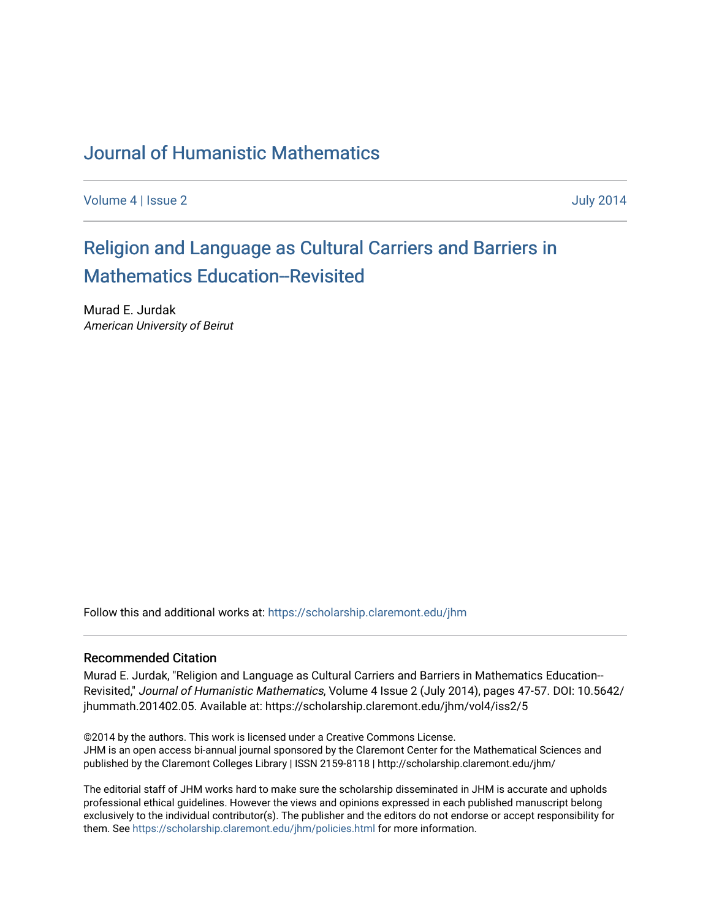# [Journal of Humanistic Mathematics](https://scholarship.claremont.edu/jhm)

[Volume 4](https://scholarship.claremont.edu/jhm/vol4) | [Issue 2](https://scholarship.claremont.edu/jhm/vol4/iss2) July 2014

# [Religion and Language as Cultural Carriers and Barriers in](https://scholarship.claremont.edu/jhm/vol4/iss2/5)  [Mathematics Education--Revisited](https://scholarship.claremont.edu/jhm/vol4/iss2/5)

Murad E. Jurdak American University of Beirut

Follow this and additional works at: [https://scholarship.claremont.edu/jhm](https://scholarship.claremont.edu/jhm?utm_source=scholarship.claremont.edu%2Fjhm%2Fvol4%2Fiss2%2F5&utm_medium=PDF&utm_campaign=PDFCoverPages)

#### Recommended Citation

Murad E. Jurdak, "Religion and Language as Cultural Carriers and Barriers in Mathematics Education-- Revisited," Journal of Humanistic Mathematics, Volume 4 Issue 2 (July 2014), pages 47-57. DOI: 10.5642/ jhummath.201402.05. Available at: https://scholarship.claremont.edu/jhm/vol4/iss2/5

©2014 by the authors. This work is licensed under a Creative Commons License. JHM is an open access bi-annual journal sponsored by the Claremont Center for the Mathematical Sciences and published by the Claremont Colleges Library | ISSN 2159-8118 | http://scholarship.claremont.edu/jhm/

The editorial staff of JHM works hard to make sure the scholarship disseminated in JHM is accurate and upholds professional ethical guidelines. However the views and opinions expressed in each published manuscript belong exclusively to the individual contributor(s). The publisher and the editors do not endorse or accept responsibility for them. See<https://scholarship.claremont.edu/jhm/policies.html> for more information.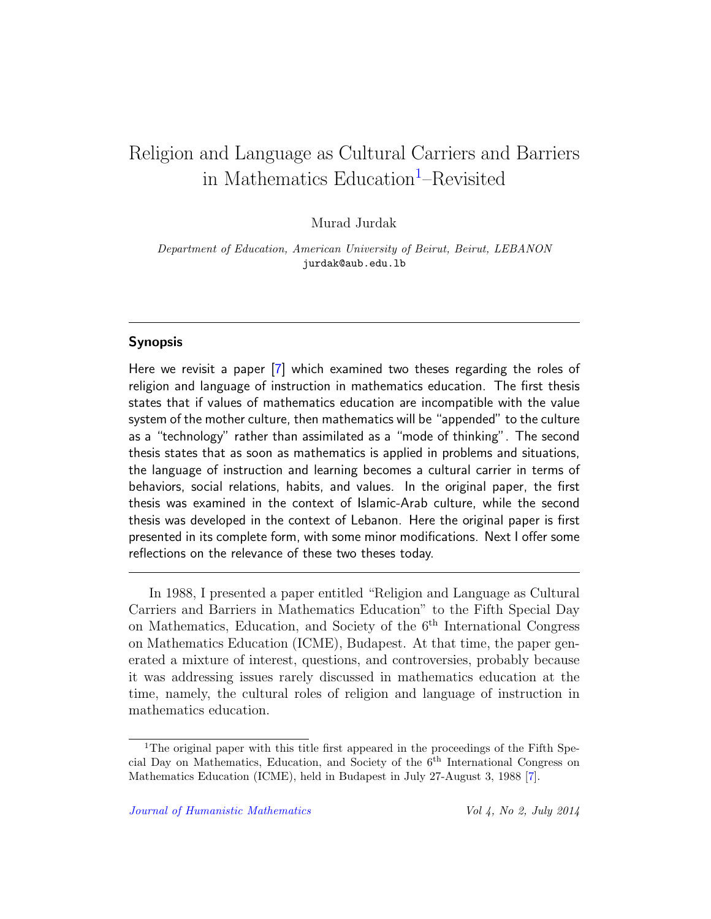# Religion and Language as Cultural Carriers and Barriers in Mathematics Education<sup>[1](#page-1-0)</sup>–Revisited

Murad Jurdak

Department of Education, American University of Beirut, Beirut, LEBANON jurdak@aub.edu.lb

## Synopsis

Here we revisit a paper [\[7\]](#page-10-0) which examined two theses regarding the roles of religion and language of instruction in mathematics education. The first thesis states that if values of mathematics education are incompatible with the value system of the mother culture, then mathematics will be "appended" to the culture as a "technology" rather than assimilated as a "mode of thinking". The second thesis states that as soon as mathematics is applied in problems and situations, the language of instruction and learning becomes a cultural carrier in terms of behaviors, social relations, habits, and values. In the original paper, the first thesis was examined in the context of Islamic-Arab culture, while the second thesis was developed in the context of Lebanon. Here the original paper is first presented in its complete form, with some minor modifications. Next I offer some reflections on the relevance of these two theses today.

In 1988, I presented a paper entitled "Religion and Language as Cultural Carriers and Barriers in Mathematics Education" to the Fifth Special Day on Mathematics, Education, and Society of the 6th International Congress on Mathematics Education (ICME), Budapest. At that time, the paper generated a mixture of interest, questions, and controversies, probably because it was addressing issues rarely discussed in mathematics education at the time, namely, the cultural roles of religion and language of instruction in mathematics education.

<span id="page-1-0"></span><sup>&</sup>lt;sup>1</sup>The original paper with this title first appeared in the proceedings of the Fifth Special Day on Mathematics, Education, and Society of the 6th International Congress on Mathematics Education (ICME), held in Budapest in July 27-August 3, 1988 [\[7\]](#page-10-0).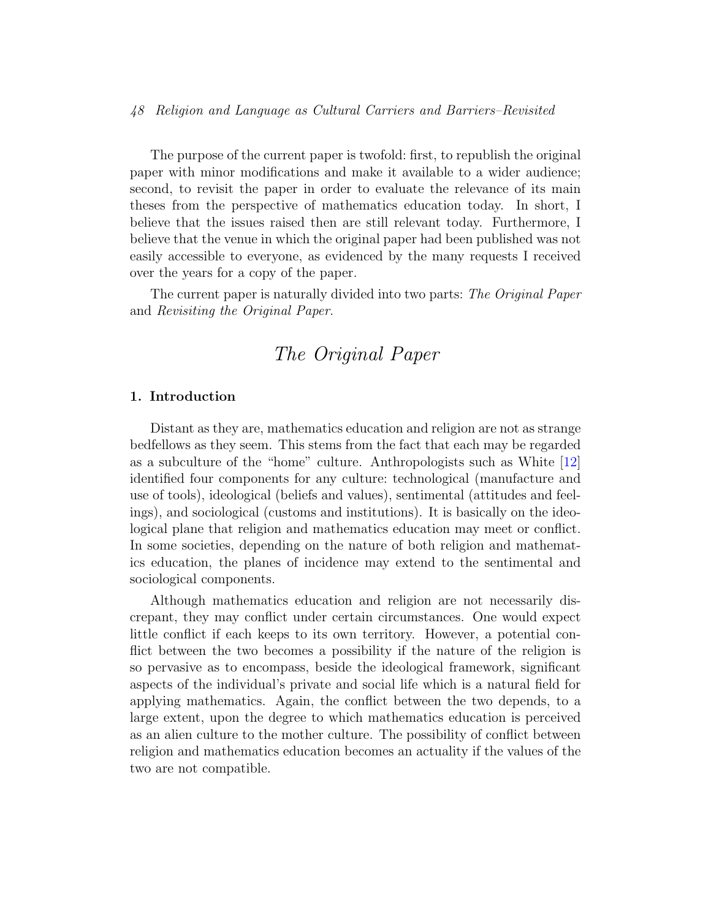#### 48 Religion and Language as Cultural Carriers and Barriers–Revisited

The purpose of the current paper is twofold: first, to republish the original paper with minor modifications and make it available to a wider audience; second, to revisit the paper in order to evaluate the relevance of its main theses from the perspective of mathematics education today. In short, I believe that the issues raised then are still relevant today. Furthermore, I believe that the venue in which the original paper had been published was not easily accessible to everyone, as evidenced by the many requests I received over the years for a copy of the paper.

The current paper is naturally divided into two parts: The Original Paper and Revisiting the Original Paper.

# The Original Paper

#### 1. Introduction

Distant as they are, mathematics education and religion are not as strange bedfellows as they seem. This stems from the fact that each may be regarded as a subculture of the "home" culture. Anthropologists such as White [\[12\]](#page-11-0) identified four components for any culture: technological (manufacture and use of tools), ideological (beliefs and values), sentimental (attitudes and feelings), and sociological (customs and institutions). It is basically on the ideological plane that religion and mathematics education may meet or conflict. In some societies, depending on the nature of both religion and mathematics education, the planes of incidence may extend to the sentimental and sociological components.

Although mathematics education and religion are not necessarily discrepant, they may conflict under certain circumstances. One would expect little conflict if each keeps to its own territory. However, a potential conflict between the two becomes a possibility if the nature of the religion is so pervasive as to encompass, beside the ideological framework, significant aspects of the individual's private and social life which is a natural field for applying mathematics. Again, the conflict between the two depends, to a large extent, upon the degree to which mathematics education is perceived as an alien culture to the mother culture. The possibility of conflict between religion and mathematics education becomes an actuality if the values of the two are not compatible.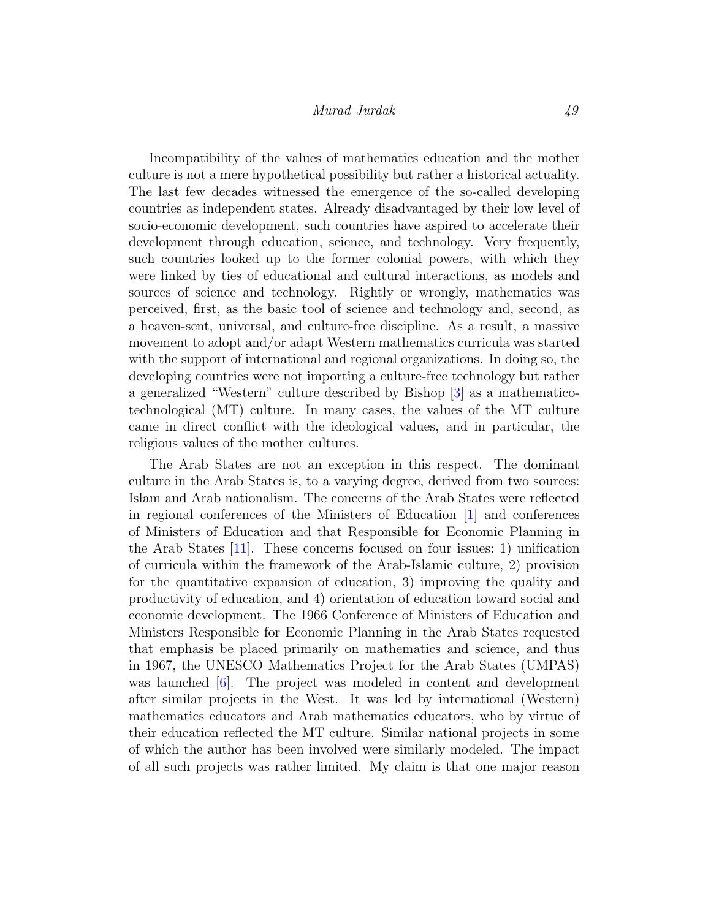Incompatibility of the values of mathematics education and the mother culture is not a mere hypothetical possibility but rather a historical actuality. The last few decades witnessed the emergence of the so-called developing countries as independent states. Already disadvantaged by their low level of socio-economic development, such countries have aspired to accelerate their development through education, science, and technology. Very frequently, such countries looked up to the former colonial powers, with which they were linked by ties of educational and cultural interactions, as models and sources of science and technology. Rightly or wrongly, mathematics was perceived, first, as the basic tool of science and technology and, second, as a heaven-sent, universal, and culture-free discipline. As a result, a massive movement to adopt and/or adapt Western mathematics curricula was started with the support of international and regional organizations. In doing so, the developing countries were not importing a culture-free technology but rather a generalized "Western" culture described by Bishop [\[3\]](#page-10-1) as a mathematicotechnological (MT) culture. In many cases, the values of the MT culture came in direct conflict with the ideological values, and in particular, the religious values of the mother cultures.

The Arab States are not an exception in this respect. The dominant culture in the Arab States is, to a varying degree, derived from two sources: Islam and Arab nationalism. The concerns of the Arab States were reflected in regional conferences of the Ministers of Education [\[1\]](#page-10-2) and conferences of Ministers of Education and that Responsible for Economic Planning in the Arab States [\[11\]](#page-11-1). These concerns focused on four issues: 1) unification of curricula within the framework of the Arab-Islamic culture, 2) provision for the quantitative expansion of education, 3) improving the quality and productivity of education, and 4) orientation of education toward social and economic development. The 1966 Conference of Ministers of Education and Ministers Responsible for Economic Planning in the Arab States requested that emphasis be placed primarily on mathematics and science, and thus in 1967, the UNESCO Mathematics Project for the Arab States (UMPAS) was launched [\[6\]](#page-10-3). The project was modeled in content and development after similar projects in the West. It was led by international (Western) mathematics educators and Arab mathematics educators, who by virtue of their education reflected the MT culture. Similar national projects in some of which the author has been involved were similarly modeled. The impact of all such projects was rather limited. My claim is that one major reason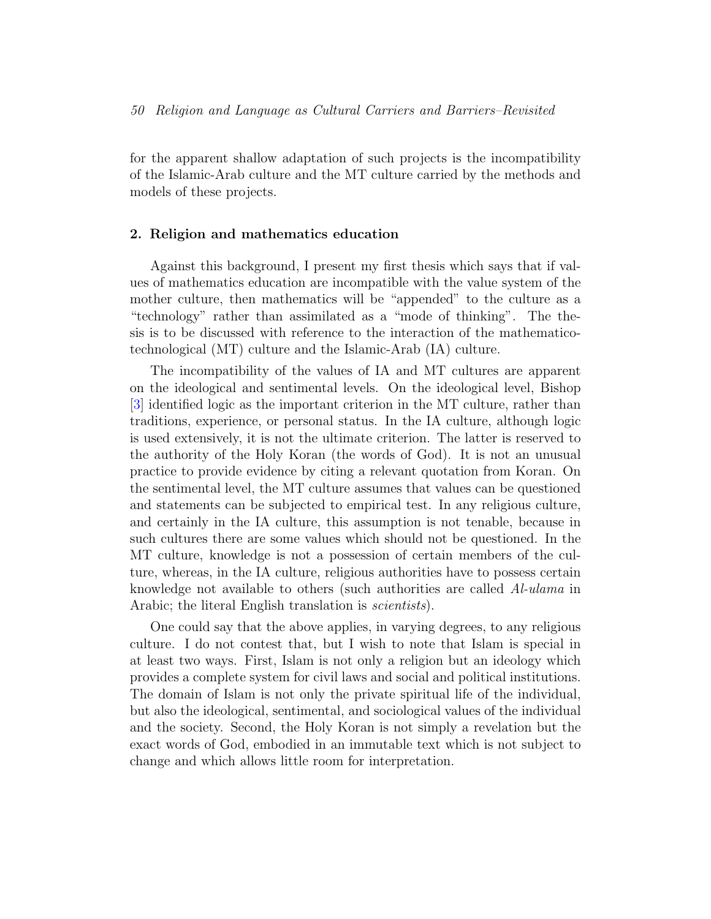for the apparent shallow adaptation of such projects is the incompatibility of the Islamic-Arab culture and the MT culture carried by the methods and models of these projects.

#### 2. Religion and mathematics education

Against this background, I present my first thesis which says that if values of mathematics education are incompatible with the value system of the mother culture, then mathematics will be "appended" to the culture as a "technology" rather than assimilated as a "mode of thinking". The thesis is to be discussed with reference to the interaction of the mathematicotechnological (MT) culture and the Islamic-Arab (IA) culture.

The incompatibility of the values of IA and MT cultures are apparent on the ideological and sentimental levels. On the ideological level, Bishop [\[3\]](#page-10-1) identified logic as the important criterion in the MT culture, rather than traditions, experience, or personal status. In the IA culture, although logic is used extensively, it is not the ultimate criterion. The latter is reserved to the authority of the Holy Koran (the words of God). It is not an unusual practice to provide evidence by citing a relevant quotation from Koran. On the sentimental level, the MT culture assumes that values can be questioned and statements can be subjected to empirical test. In any religious culture, and certainly in the IA culture, this assumption is not tenable, because in such cultures there are some values which should not be questioned. In the MT culture, knowledge is not a possession of certain members of the culture, whereas, in the IA culture, religious authorities have to possess certain knowledge not available to others (such authorities are called Al-ulama in Arabic; the literal English translation is *scientists*).

One could say that the above applies, in varying degrees, to any religious culture. I do not contest that, but I wish to note that Islam is special in at least two ways. First, Islam is not only a religion but an ideology which provides a complete system for civil laws and social and political institutions. The domain of Islam is not only the private spiritual life of the individual, but also the ideological, sentimental, and sociological values of the individual and the society. Second, the Holy Koran is not simply a revelation but the exact words of God, embodied in an immutable text which is not subject to change and which allows little room for interpretation.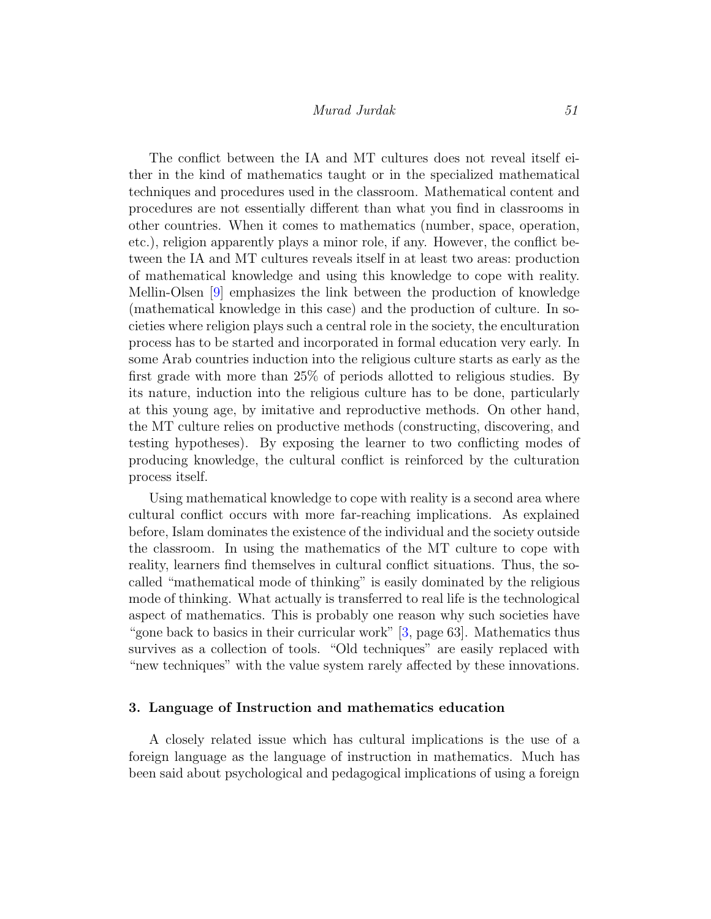The conflict between the IA and MT cultures does not reveal itself either in the kind of mathematics taught or in the specialized mathematical techniques and procedures used in the classroom. Mathematical content and procedures are not essentially different than what you find in classrooms in other countries. When it comes to mathematics (number, space, operation, etc.), religion apparently plays a minor role, if any. However, the conflict between the IA and MT cultures reveals itself in at least two areas: production of mathematical knowledge and using this knowledge to cope with reality. Mellin-Olsen [\[9\]](#page-11-2) emphasizes the link between the production of knowledge (mathematical knowledge in this case) and the production of culture. In societies where religion plays such a central role in the society, the enculturation process has to be started and incorporated in formal education very early. In some Arab countries induction into the religious culture starts as early as the first grade with more than 25% of periods allotted to religious studies. By its nature, induction into the religious culture has to be done, particularly at this young age, by imitative and reproductive methods. On other hand, the MT culture relies on productive methods (constructing, discovering, and testing hypotheses). By exposing the learner to two conflicting modes of producing knowledge, the cultural conflict is reinforced by the culturation process itself.

Using mathematical knowledge to cope with reality is a second area where cultural conflict occurs with more far-reaching implications. As explained before, Islam dominates the existence of the individual and the society outside the classroom. In using the mathematics of the MT culture to cope with reality, learners find themselves in cultural conflict situations. Thus, the socalled "mathematical mode of thinking" is easily dominated by the religious mode of thinking. What actually is transferred to real life is the technological aspect of mathematics. This is probably one reason why such societies have "gone back to basics in their curricular work" [\[3,](#page-10-1) page 63]. Mathematics thus survives as a collection of tools. "Old techniques" are easily replaced with "new techniques" with the value system rarely affected by these innovations.

## 3. Language of Instruction and mathematics education

A closely related issue which has cultural implications is the use of a foreign language as the language of instruction in mathematics. Much has been said about psychological and pedagogical implications of using a foreign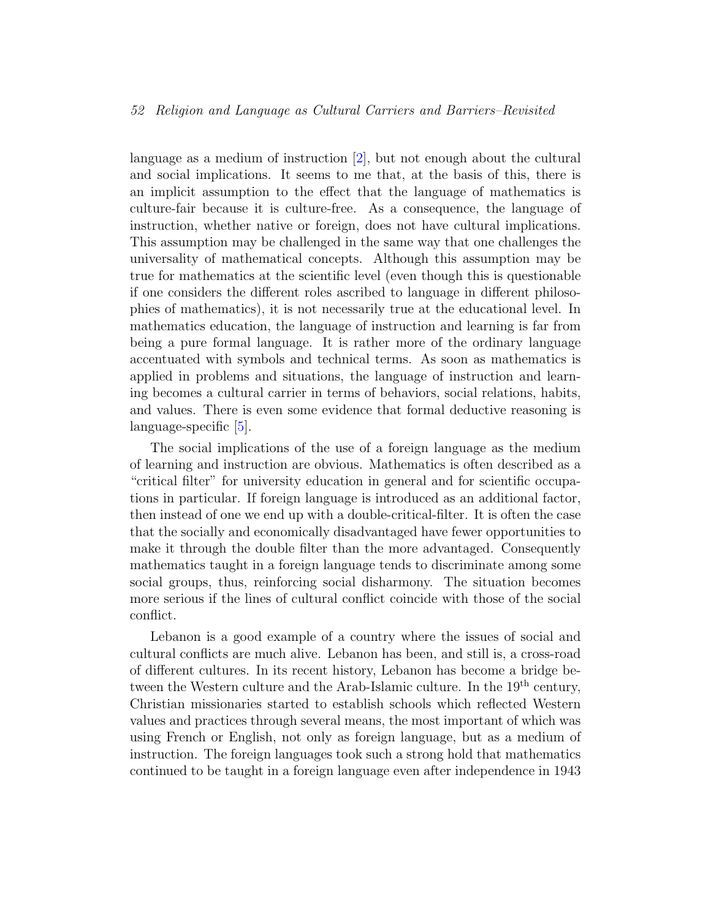#### 52 Religion and Language as Cultural Carriers and Barriers–Revisited

language as a medium of instruction [\[2\]](#page-10-4), but not enough about the cultural and social implications. It seems to me that, at the basis of this, there is an implicit assumption to the effect that the language of mathematics is culture-fair because it is culture-free. As a consequence, the language of instruction, whether native or foreign, does not have cultural implications. This assumption may be challenged in the same way that one challenges the universality of mathematical concepts. Although this assumption may be true for mathematics at the scientific level (even though this is questionable if one considers the different roles ascribed to language in different philosophies of mathematics), it is not necessarily true at the educational level. In mathematics education, the language of instruction and learning is far from being a pure formal language. It is rather more of the ordinary language accentuated with symbols and technical terms. As soon as mathematics is applied in problems and situations, the language of instruction and learning becomes a cultural carrier in terms of behaviors, social relations, habits, and values. There is even some evidence that formal deductive reasoning is language-specific [\[5\]](#page-10-5).

The social implications of the use of a foreign language as the medium of learning and instruction are obvious. Mathematics is often described as a "critical filter" for university education in general and for scientific occupations in particular. If foreign language is introduced as an additional factor, then instead of one we end up with a double-critical-filter. It is often the case that the socially and economically disadvantaged have fewer opportunities to make it through the double filter than the more advantaged. Consequently mathematics taught in a foreign language tends to discriminate among some social groups, thus, reinforcing social disharmony. The situation becomes more serious if the lines of cultural conflict coincide with those of the social conflict.

Lebanon is a good example of a country where the issues of social and cultural conflicts are much alive. Lebanon has been, and still is, a cross-road of different cultures. In its recent history, Lebanon has become a bridge between the Western culture and the Arab-Islamic culture. In the 19<sup>th</sup> century, Christian missionaries started to establish schools which reflected Western values and practices through several means, the most important of which was using French or English, not only as foreign language, but as a medium of instruction. The foreign languages took such a strong hold that mathematics continued to be taught in a foreign language even after independence in 1943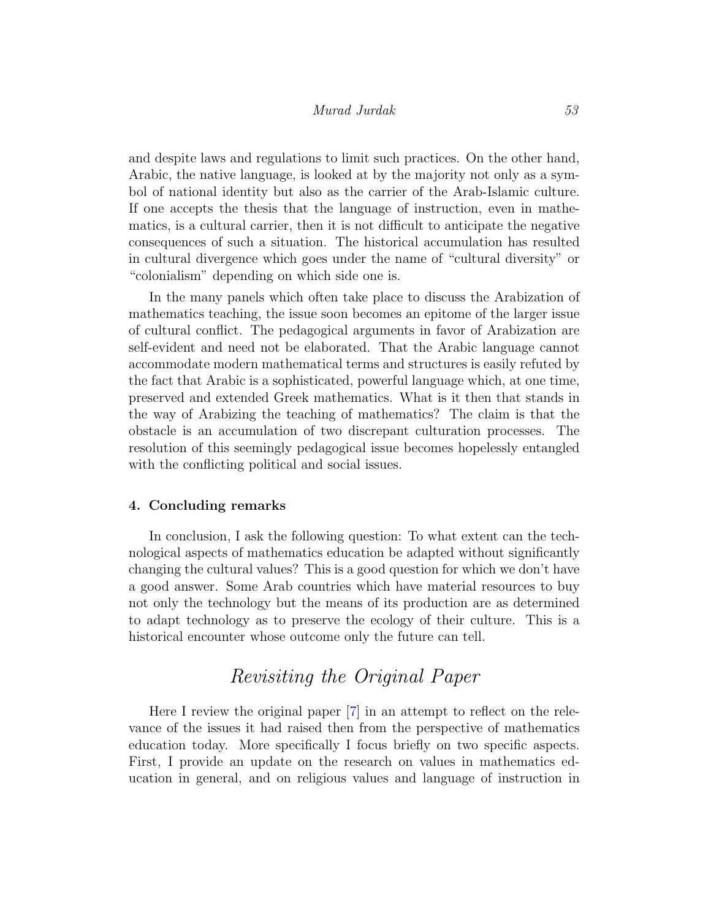and despite laws and regulations to limit such practices. On the other hand, Arabic, the native language, is looked at by the majority not only as a symbol of national identity but also as the carrier of the Arab-Islamic culture. If one accepts the thesis that the language of instruction, even in mathematics, is a cultural carrier, then it is not difficult to anticipate the negative consequences of such a situation. The historical accumulation has resulted in cultural divergence which goes under the name of "cultural diversity" or "colonialism" depending on which side one is.

In the many panels which often take place to discuss the Arabization of mathematics teaching, the issue soon becomes an epitome of the larger issue of cultural conflict. The pedagogical arguments in favor of Arabization are self-evident and need not be elaborated. That the Arabic language cannot accommodate modern mathematical terms and structures is easily refuted by the fact that Arabic is a sophisticated, powerful language which, at one time, preserved and extended Greek mathematics. What is it then that stands in the way of Arabizing the teaching of mathematics? The claim is that the obstacle is an accumulation of two discrepant culturation processes. The resolution of this seemingly pedagogical issue becomes hopelessly entangled with the conflicting political and social issues.

#### 4. Concluding remarks

In conclusion, I ask the following question: To what extent can the technological aspects of mathematics education be adapted without significantly changing the cultural values? This is a good question for which we don't have a good answer. Some Arab countries which have material resources to buy not only the technology but the means of its production are as determined to adapt technology as to preserve the ecology of their culture. This is a historical encounter whose outcome only the future can tell.

# Revisiting the Original Paper

Here I review the original paper [\[7\]](#page-10-0) in an attempt to reflect on the relevance of the issues it had raised then from the perspective of mathematics education today. More specifically I focus briefly on two specific aspects. First, I provide an update on the research on values in mathematics education in general, and on religious values and language of instruction in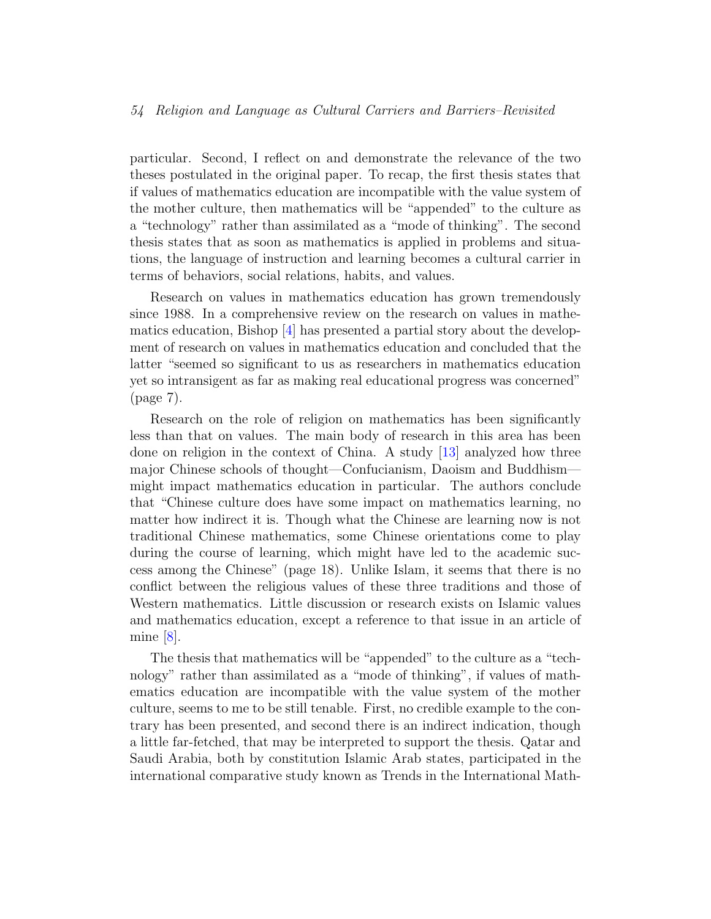#### 54 Religion and Language as Cultural Carriers and Barriers–Revisited

particular. Second, I reflect on and demonstrate the relevance of the two theses postulated in the original paper. To recap, the first thesis states that if values of mathematics education are incompatible with the value system of the mother culture, then mathematics will be "appended" to the culture as a "technology" rather than assimilated as a "mode of thinking". The second thesis states that as soon as mathematics is applied in problems and situations, the language of instruction and learning becomes a cultural carrier in terms of behaviors, social relations, habits, and values.

Research on values in mathematics education has grown tremendously since 1988. In a comprehensive review on the research on values in mathematics education, Bishop [\[4\]](#page-10-6) has presented a partial story about the development of research on values in mathematics education and concluded that the latter "seemed so significant to us as researchers in mathematics education yet so intransigent as far as making real educational progress was concerned" (page 7).

Research on the role of religion on mathematics has been significantly less than that on values. The main body of research in this area has been done on religion in the context of China. A study [\[13\]](#page-11-3) analyzed how three major Chinese schools of thought—Confucianism, Daoism and Buddhism might impact mathematics education in particular. The authors conclude that "Chinese culture does have some impact on mathematics learning, no matter how indirect it is. Though what the Chinese are learning now is not traditional Chinese mathematics, some Chinese orientations come to play during the course of learning, which might have led to the academic success among the Chinese" (page 18). Unlike Islam, it seems that there is no conflict between the religious values of these three traditions and those of Western mathematics. Little discussion or research exists on Islamic values and mathematics education, except a reference to that issue in an article of mine [\[8\]](#page-10-7).

The thesis that mathematics will be "appended" to the culture as a "technology" rather than assimilated as a "mode of thinking", if values of mathematics education are incompatible with the value system of the mother culture, seems to me to be still tenable. First, no credible example to the contrary has been presented, and second there is an indirect indication, though a little far-fetched, that may be interpreted to support the thesis. Qatar and Saudi Arabia, both by constitution Islamic Arab states, participated in the international comparative study known as Trends in the International Math-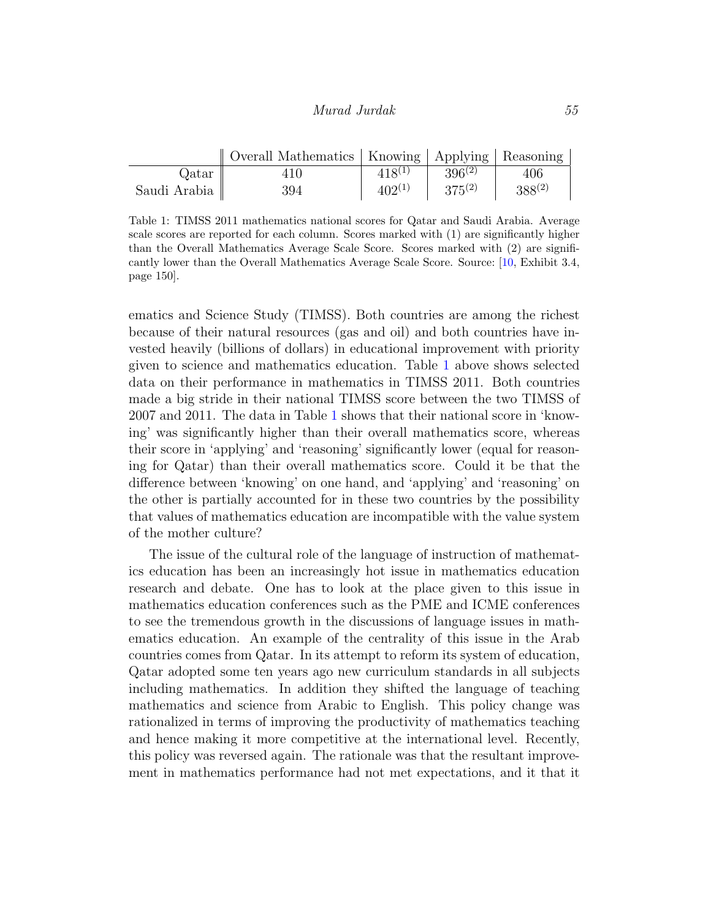|              | Overall Mathematics   Knowing   Applying   Reasoning |             |             |             |
|--------------|------------------------------------------------------|-------------|-------------|-------------|
| Qatar        | 410                                                  | $418^{(1)}$ | $396^{(2)}$ | 406         |
| Saudi Arabia | 394                                                  | $402^{(1)}$ | $375^{(2)}$ | $388^{(2)}$ |

<span id="page-9-0"></span>Table 1: TIMSS 2011 mathematics national scores for Qatar and Saudi Arabia. Average scale scores are reported for each column. Scores marked with (1) are significantly higher than the Overall Mathematics Average Scale Score. Scores marked with (2) are significantly lower than the Overall Mathematics Average Scale Score. Source: [\[10,](#page-11-4) Exhibit 3.4, page 150].

ematics and Science Study (TIMSS). Both countries are among the richest because of their natural resources (gas and oil) and both countries have invested heavily (billions of dollars) in educational improvement with priority given to science and mathematics education. Table [1](#page-9-0) above shows selected data on their performance in mathematics in TIMSS 2011. Both countries made a big stride in their national TIMSS score between the two TIMSS of 2007 and 2011. The data in Table [1](#page-9-0) shows that their national score in 'knowing' was significantly higher than their overall mathematics score, whereas their score in 'applying' and 'reasoning' significantly lower (equal for reasoning for Qatar) than their overall mathematics score. Could it be that the difference between 'knowing' on one hand, and 'applying' and 'reasoning' on the other is partially accounted for in these two countries by the possibility that values of mathematics education are incompatible with the value system of the mother culture?

The issue of the cultural role of the language of instruction of mathematics education has been an increasingly hot issue in mathematics education research and debate. One has to look at the place given to this issue in mathematics education conferences such as the PME and ICME conferences to see the tremendous growth in the discussions of language issues in mathematics education. An example of the centrality of this issue in the Arab countries comes from Qatar. In its attempt to reform its system of education, Qatar adopted some ten years ago new curriculum standards in all subjects including mathematics. In addition they shifted the language of teaching mathematics and science from Arabic to English. This policy change was rationalized in terms of improving the productivity of mathematics teaching and hence making it more competitive at the international level. Recently, this policy was reversed again. The rationale was that the resultant improvement in mathematics performance had not met expectations, and it that it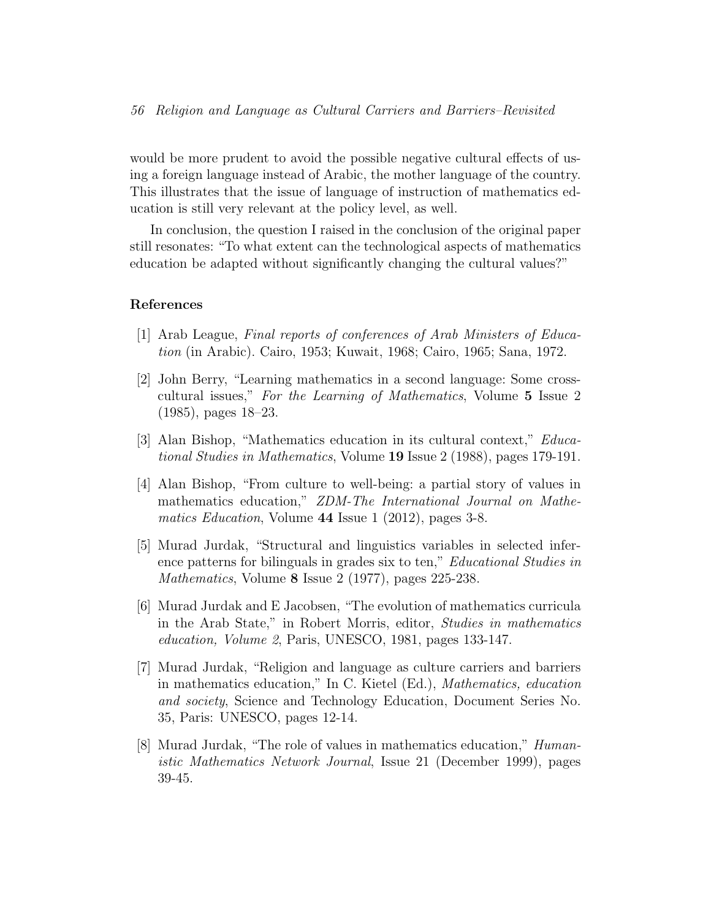would be more prudent to avoid the possible negative cultural effects of using a foreign language instead of Arabic, the mother language of the country. This illustrates that the issue of language of instruction of mathematics education is still very relevant at the policy level, as well.

In conclusion, the question I raised in the conclusion of the original paper still resonates: "To what extent can the technological aspects of mathematics education be adapted without significantly changing the cultural values?"

#### References

- <span id="page-10-2"></span>[1] Arab League, Final reports of conferences of Arab Ministers of Education (in Arabic). Cairo, 1953; Kuwait, 1968; Cairo, 1965; Sana, 1972.
- <span id="page-10-4"></span>[2] John Berry, "Learning mathematics in a second language: Some crosscultural issues," For the Learning of Mathematics, Volume 5 Issue 2 (1985), pages 18–23.
- <span id="page-10-1"></span>[3] Alan Bishop, "Mathematics education in its cultural context," Educational Studies in Mathematics, Volume 19 Issue 2 (1988), pages 179-191.
- <span id="page-10-6"></span>[4] Alan Bishop, "From culture to well-being: a partial story of values in mathematics education," ZDM-The International Journal on Mathematics Education, Volume 44 Issue 1 (2012), pages 3-8.
- <span id="page-10-5"></span>[5] Murad Jurdak, "Structural and linguistics variables in selected inference patterns for bilinguals in grades six to ten," Educational Studies in Mathematics, Volume 8 Issue 2 (1977), pages 225-238.
- <span id="page-10-3"></span>[6] Murad Jurdak and E Jacobsen, "The evolution of mathematics curricula in the Arab State," in Robert Morris, editor, Studies in mathematics education, Volume 2, Paris, UNESCO, 1981, pages 133-147.
- <span id="page-10-0"></span>[7] Murad Jurdak, "Religion and language as culture carriers and barriers in mathematics education," In C. Kietel (Ed.), Mathematics, education and society, Science and Technology Education, Document Series No. 35, Paris: UNESCO, pages 12-14.
- <span id="page-10-7"></span>[8] Murad Jurdak, "The role of values in mathematics education," Humanistic Mathematics Network Journal, Issue 21 (December 1999), pages 39-45.